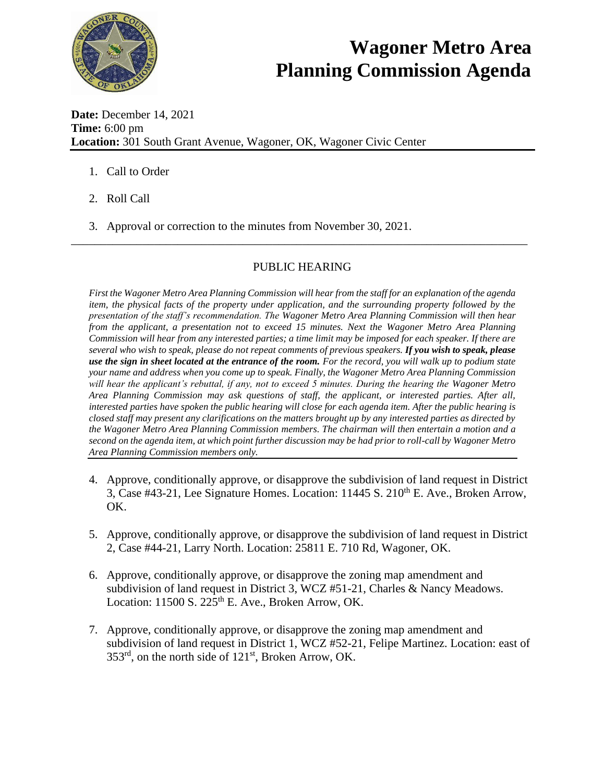

## **Wagoner Metro Area Planning Commission Agenda**

**Date:** December 14, 2021 **Time:** 6:00 pm **Location:** 301 South Grant Avenue, Wagoner, OK, Wagoner Civic Center

- 1. Call to Order
- 2. Roll Call
- 3. Approval or correction to the minutes from November 30, 2021.

## PUBLIC HEARING

\_\_\_\_\_\_\_\_\_\_\_\_\_\_\_\_\_\_\_\_\_\_\_\_\_\_\_\_\_\_\_\_\_\_\_\_\_\_\_\_\_\_\_\_\_\_\_\_\_\_\_\_\_\_\_\_\_\_\_\_\_\_\_\_\_\_\_\_\_\_\_\_\_\_\_\_\_

*First the Wagoner Metro Area Planning Commission will hear from the staff for an explanation of the agenda item, the physical facts of the property under application, and the surrounding property followed by the presentation of the staff's recommendation. The Wagoner Metro Area Planning Commission will then hear from the applicant, a presentation not to exceed 15 minutes. Next the Wagoner Metro Area Planning Commission will hear from any interested parties; a time limit may be imposed for each speaker. If there are several who wish to speak, please do not repeat comments of previous speakers. If you wish to speak, please use the sign in sheet located at the entrance of the room. For the record, you will walk up to podium state your name and address when you come up to speak. Finally, the Wagoner Metro Area Planning Commission will hear the applicant's rebuttal, if any, not to exceed 5 minutes. During the hearing the Wagoner Metro Area Planning Commission may ask questions of staff, the applicant, or interested parties. After all, interested parties have spoken the public hearing will close for each agenda item. After the public hearing is closed staff may present any clarifications on the matters brought up by any interested parties as directed by the Wagoner Metro Area Planning Commission members. The chairman will then entertain a motion and a second on the agenda item, at which point further discussion may be had prior to roll-call by Wagoner Metro Area Planning Commission members only.* 

- 4. Approve, conditionally approve, or disapprove the subdivision of land request in District 3, Case #43-21, Lee Signature Homes. Location: 11445 S. 210<sup>th</sup> E. Ave., Broken Arrow, OK.
- 5. Approve, conditionally approve, or disapprove the subdivision of land request in District 2, Case #44-21, Larry North. Location: 25811 E. 710 Rd, Wagoner, OK.
- 6. Approve, conditionally approve, or disapprove the zoning map amendment and subdivision of land request in District 3, WCZ #51-21, Charles & Nancy Meadows. Location:  $11500$  S.  $225<sup>th</sup>$  E. Ave., Broken Arrow, OK.
- 7. Approve, conditionally approve, or disapprove the zoning map amendment and subdivision of land request in District 1, WCZ #52-21, Felipe Martinez. Location: east of 353rd, on the north side of 121st, Broken Arrow, OK.